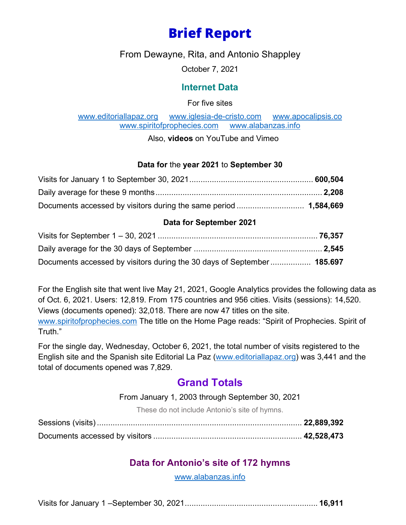# **Brief Report**

From Dewayne, Rita, and Antonio Shappley

October 7, 2021

### **Internet Data**

For five sites

[www.editoriallapaz.org](http://www.editoriallapaz.org/) [www.iglesia-de-cristo.com](http://www.iglesia-de-cristo.com/) [www.apocalipsis.co](http://www.apocalipsis.co/)m<br>www.spiritofprophecies.com www.alabanzas.info www.spiritofprophecies.com

Also, **videos** on YouTube and Vimeo

#### **Data for** the **year 2021** to **September 30**

#### **Data for September 2021**

| Documents accessed by visitors during the 30 days of September 185.697 |  |
|------------------------------------------------------------------------|--|

For the English site that went live May 21, 2021, Google Analytics provides the following data as of Oct. 6, 2021. Users: 12,819. From 175 countries and 956 cities. Visits (sessions): 14,520. Views (documents opened): 32,018. There are now 47 titles on the site. [www.spiritofprophecies.com](http://www.spiritofprophecies.com/) The title on the Home Page reads: "Spirit of Prophecies. Spirit of Truth."

For the single day, Wednesday, October 6, 2021, the total number of visits registered to the English site and the Spanish site Editorial La Paz [\(www.editoriallapaz.org\)](http://www.editoriallapaz.org/) was 3,441 and the total of documents opened was 7,829.

## **Grand Totals**

From January 1, 2003 through September 30, 2021

These do not include Antonio's site of hymns.

## **Data for Antonio's site of 172 hymns**

[www.alabanzas.info](http://www.alabanzas.info/)

|--|--|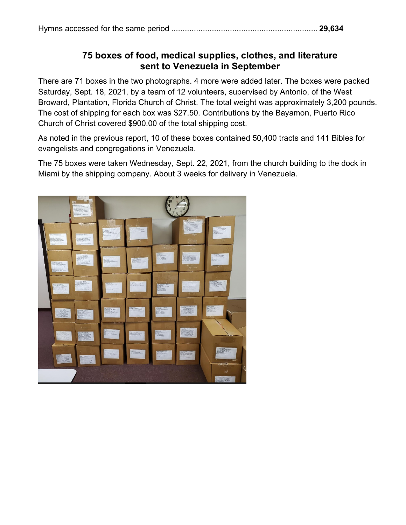## **75 boxes of food, medical supplies, clothes, and literature sent to Venezuela in September**

There are 71 boxes in the two photographs. 4 more were added later. The boxes were packed Saturday, Sept. 18, 2021, by a team of 12 volunteers, supervised by Antonio, of the West Broward, Plantation, Florida Church of Christ. The total weight was approximately 3,200 pounds. The cost of shipping for each box was \$27.50. Contributions by the Bayamon, Puerto Rico Church of Christ covered \$900.00 of the total shipping cost.

As noted in the previous report, 10 of these boxes contained 50,400 tracts and 141 Bibles for evangelists and congregations in Venezuela.

The 75 boxes were taken Wednesday, Sept. 22, 2021, from the church building to the dock in Miami by the shipping company. About 3 weeks for delivery in Venezuela.